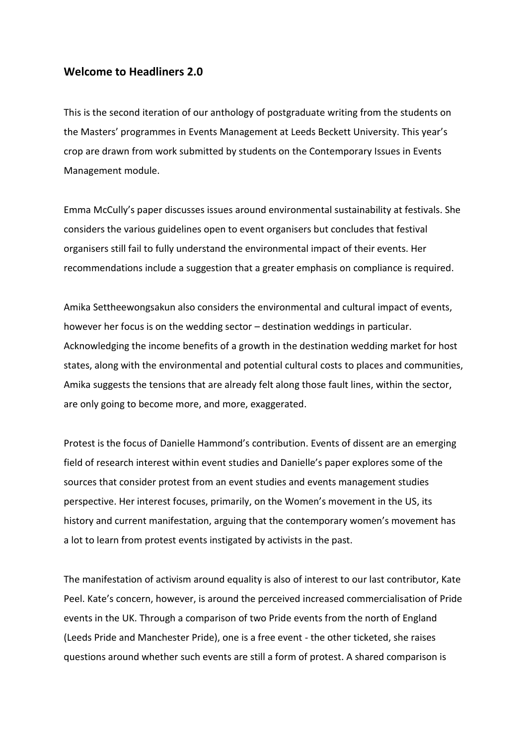## **Welcome to Headliners 2.0**

This is the second iteration of our anthology of postgraduate writing from the students on the Masters' programmes in Events Management at Leeds Beckett University. This year's crop are drawn from work submitted by students on the Contemporary Issues in Events Management module.

Emma McCully's paper discusses issues around environmental sustainability at festivals. She considers the various guidelines open to event organisers but concludes that festival organisers still fail to fully understand the environmental impact of their events. Her recommendations include a suggestion that a greater emphasis on compliance is required.

Amika Settheewongsakun also considers the environmental and cultural impact of events, however her focus is on the wedding sector – destination weddings in particular. Acknowledging the income benefits of a growth in the destination wedding market for host states, along with the environmental and potential cultural costs to places and communities, Amika suggests the tensions that are already felt along those fault lines, within the sector, are only going to become more, and more, exaggerated.

Protest is the focus of Danielle Hammond's contribution. Events of dissent are an emerging field of research interest within event studies and Danielle's paper explores some of the sources that consider protest from an event studies and events management studies perspective. Her interest focuses, primarily, on the Women's movement in the US, its history and current manifestation, arguing that the contemporary women's movement has a lot to learn from protest events instigated by activists in the past.

The manifestation of activism around equality is also of interest to our last contributor, Kate Peel. Kate's concern, however, is around the perceived increased commercialisation of Pride events in the UK. Through a comparison of two Pride events from the north of England (Leeds Pride and Manchester Pride), one is a free event - the other ticketed, she raises questions around whether such events are still a form of protest. A shared comparison is